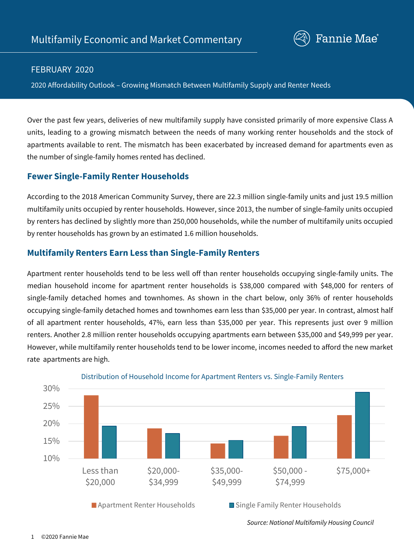

#### FEBRUARY 2020

2020 Affordability Outlook – Growing Mismatch Between Multifamily Supply and Renter Needs

Over the past few years, deliveries of new multifamily supply have consisted primarily of more expensive Class A units, leading to a growing mismatch between the needs of many working renter households and the stock of apartments available to rent. The mismatch has been exacerbated by increased demand for apartments even as the number of single-family homes rented has declined.

#### **Fewer Single-Family Renter Households**

According to the 2018 American Community Survey, there are 22.3 million single-family units and just 19.5 million multifamily units occupied by renter households. However, since 2013, the number of single-family units occupied by renters has declined by slightly more than 250,000 households, while the number of multifamily units occupied by renter households has grown by an estimated 1.6 million households.

# **Multifamily Renters Earn Less than Single-Family Renters**

Apartment renter households tend to be less well off than renter households occupying single-family units. The median household income for apartment renter households is \$38,000 compared with \$48,000 for renters of single-family detached homes and townhomes. As shown in the chart below, only 36% of renter households occupying single-family detached homes and townhomes earn less than \$35,000 per year. In contrast, almost half of all apartment renter households, 47%, earn less than \$35,000 per year. This represents just over 9 million renters. Another 2.8 million renter households occupying apartments earn between \$35,000 and \$49,999 per year. However, while multifamily renter households tend to be lower income, incomes needed to afford the new market rate apartments are high.



#### Distribution of Household Income for Apartment Renters vs. Single-Family Renters

*Source: National Multifamily Housing Council*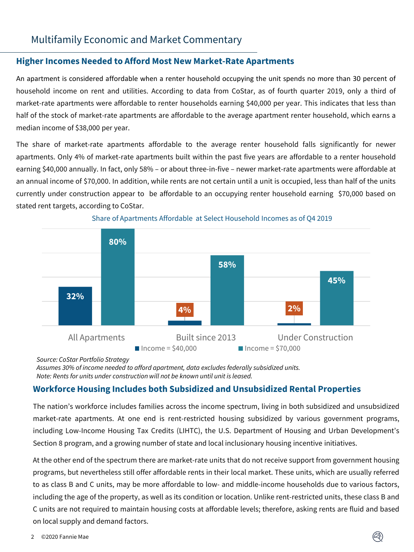# Multifamily Economic and Market Commentary

#### **Higher Incomes Needed to Afford Most New Market-Rate Apartments**

An apartment is considered affordable when a renter household occupying the unit spends no more than 30 percent of household income on rent and utilities. According to data from CoStar, as of fourth quarter 2019, only a third of market-rate apartments were affordable to renter households earning \$40,000 per year. This indicates that less than half of the stock of market-rate apartments are affordable to the average apartment renter household, which earns a median income of \$38,000 per year.

The share of market-rate apartments affordable to the average renter household falls significantly for newer apartments. Only 4% of market-rate apartments built within the past five years are affordable to a renter household earning \$40,000 annually. In fact, only 58% – or about three-in-five – newer market-rate apartments were affordable at an annual income of \$70,000. In addition, while rents are not certain until a unit is occupied, less than half of the units currently under construction appear to be affordable to an occupying renter household earning \$70,000 based on stated rent targets, according to CoStar.





*Source: CoStar Portfolio Strategy*

*Assumes 30% of income needed to afford apartment, data excludes federally subsidized units. Note: Rents for units under construction will not be known until unit is leased.* 

# **Workforce Housing Includes both Subsidized and Unsubsidized Rental Properties**

The nation's workforce includes families across the income spectrum, living in both subsidized and unsubsidized market-rate apartments. At one end is rent-restricted housing subsidized by various government programs, including Low-Income Housing Tax Credits (LIHTC), the U.S. Department of Housing and Urban Development's Section 8 program, and a growing number of state and local inclusionary housing incentive initiatives.

At the other end of the spectrum there are market-rate units that do not receive support from government housing programs, but nevertheless still offer affordable rents in their local market. These units, which are usually referred to as class B and C units, may be more affordable to low- and middle-income households due to various factors, including the age of the property, as well as its condition or location. Unlike rent-restricted units, these class B and C units are not required to maintain housing costs at affordable levels; therefore, asking rents are fluid and based on local supply and demand factors.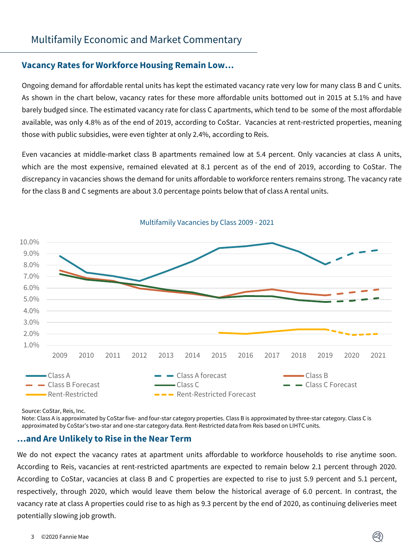# **Vacancy Rates for Workforce Housing Remain Low…**

Ongoing demand for affordable rental units has kept the estimated vacancy rate very low for many class B and C units. As shown in the chart below, vacancy rates for these more affordable units bottomed out in 2015 at 5.1% and have barely budged since. The estimated vacancy rate for class C apartments, which tend to be some of the most affordable available, was only 4.8% as of the end of 2019, according to CoStar. Vacancies at rent-restricted properties, meaning those with public subsidies, were even tighter at only 2.4%, according to Reis.

Even vacancies at middle-market class B apartments remained low at 5.4 percent. Only vacancies at class A units, which are the most expensive, remained elevated at 8.1 percent as of the end of 2019, according to CoStar. The discrepancy in vacancies shows the demand for units affordable to workforce renters remains strong. The vacancy rate for the class B and C segments are about 3.0 percentage points below that of class A rental units.



Multifamily Vacancies by Class 2009 - 2021

Source: CoStar, Reis, Inc.

Note: Class A is approximated by CoStar five- and four-star category properties. Class B is approximated by three-star category. Class C is approximated by CoStar's two-star and one-star category data. Rent-Restricted data from Reis based on LIHTC units.

#### **…and Are Unlikely to Rise in the Near Term**

We do not expect the vacancy rates at apartment units affordable to workforce households to rise anytime soon. According to Reis, vacancies at rent-restricted apartments are expected to remain below 2.1 percent through 2020. According to CoStar, vacancies at class B and C properties are expected to rise to just 5.9 percent and 5.1 percent, respectively, through 2020, which would leave them below the historical average of 6.0 percent. In contrast, the vacancy rate at class A properties could rise to as high as 9.3 percent by the end of 2020, as continuing deliveries meet potentially slowing job growth.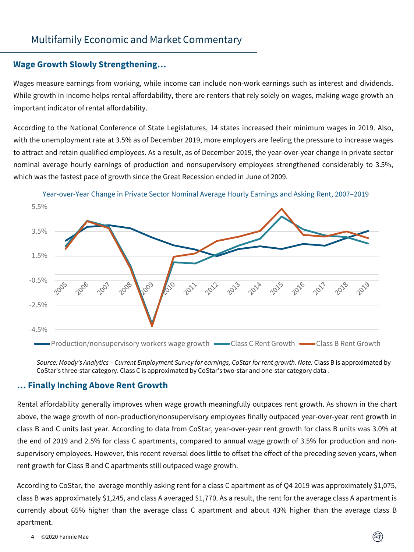# Multifamily Economic and Market Commentary

#### **Wage Growth Slowly Strengthening…**

Wages measure earnings from working, while income can include non-work earnings such as interest and dividends. While growth in income helps rental affordability, there are renters that rely solely on wages, making wage growth an important indicator of rental affordability.

According to the National Conference of State Legislatures, 14 states increased their minimum wages in 2019. Also, with the unemployment rate at 3.5% as of December 2019, more employers are feeling the pressure to increase wages to attract and retain qualified employees. As a result, as of December 2019, the year-over-year change in private sector nominal average hourly earnings of production and nonsupervisory employees strengthened considerably to 3.5%, which was the fastest pace of growth since the Great Recession ended in June of 2009.



Year-over-Year Change in Private Sector Nominal Average Hourly Earnings and Asking Rent, 2007–2019

*Source: Moody's Analytics – Current Employment Survey for earnings, CoStar for rent growth. Note:* Class B is approximated by CoStar's three-star category. Class C is approximated by CoStar's two-star and one-star category data *.*

#### **… Finally Inching Above Rent Growth**

Rental affordability generally improves when wage growth meaningfully outpaces rent growth. As shown in the chart above, the wage growth of non-production/nonsupervisory employees finally outpaced year-over-year rent growth in class B and C units last year. According to data from CoStar, year-over-year rent growth for class B units was 3.0% at the end of 2019 and 2.5% for class C apartments, compared to annual wage growth of 3.5% for production and nonsupervisory employees. However, this recent reversal does little to offset the effect of the preceding seven years, when rent growth for Class B and C apartments still outpaced wage growth.

According to CoStar, the average monthly asking rent for a class C apartment as of Q4 2019 was approximately \$1,075, class B was approximately \$1,245, and class A averaged \$1,770. As a result, the rent for the average class A apartment is currently about 65% higher than the average class C apartment and about 43% higher than the average class B apartment.

#### 4 ©2020 Fannie Mae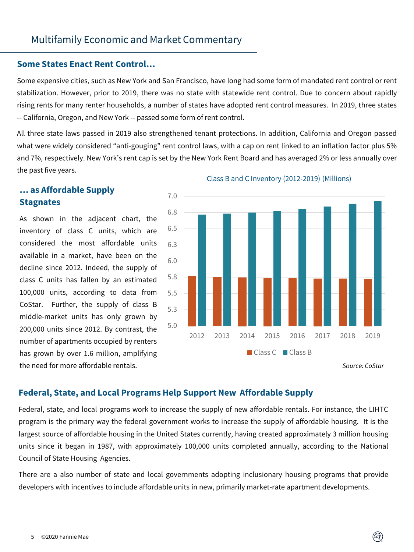#### **Some States Enact Rent Control…**

Some expensive cities, such as New York and San Francisco, have long had some form of mandated rent control or rent stabilization. However, prior to 2019, there was no state with statewide rent control. Due to concern about rapidly rising rents for many renter households, a number of states have adopted rent control measures. In 2019, three states -- California, Oregon, and New York -- passed some form of rent control.

All three state laws passed in 2019 also strengthened tenant protections. In addition, California and Oregon passed what were widely considered "anti-gouging" rent control laws, with a cap on rent linked to an inflation factor plus 5% and 7%, respectively. New York's rent cap is set by the New York Rent Board and has averaged 2% or less annually over the past five years.

# **… as Affordable Supply Stagnates**

As shown in the adjacent chart, the inventory of class C units, which are considered the most affordable units available in a market, have been on the decline since 2012. Indeed, the supply of class C units has fallen by an estimated 100,000 units, according to data from CoStar. Further, the supply of class B middle-market units has only grown by 200,000 units since 2012. By contrast, the number of apartments occupied by renters has grown by over 1.6 million, amplifying the need for more affordable rentals.



#### Class B and C Inventory (2012-2019) (Millions)

*Source: CoStar*

# **Federal, State, and Local Programs Help Support New Affordable Supply**

Federal, state, and local programs work to increase the supply of new affordable rentals. For instance, the LIHTC program is the primary way the federal government works to increase the supply of affordable housing. It is the largest source of affordable housing in the United States currently, having created approximately 3 million housing units since it began in 1987, with approximately 100,000 units completed annually, according to the National Council of State Housing Agencies.

There are a also number of state and local governments adopting inclusionary housing programs that provide developers with incentives to include affordable units in new, primarily market-rate apartment developments.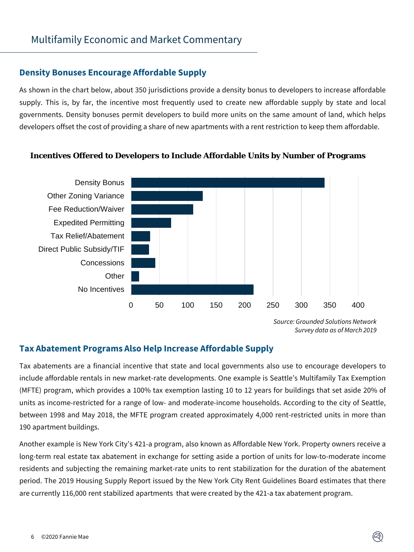#### **Density Bonuses Encourage Affordable Supply**

As shown in the chart below, about 350 jurisdictions provide a density bonus to developers to increase affordable supply. This is, by far, the incentive most frequently used to create new affordable supply by state and local governments. Density bonuses permit developers to build more units on the same amount of land, which helps developers offset the cost of providing a share of new apartments with a rent restriction to keep them affordable.



#### **Incentives Offered to Developers to Include Affordable Units by Number of Programs**

*Source: Grounded Solutions Network Survey data as of March 2019*

# **Tax Abatement Programs Also Help Increase Affordable Supply**

Tax abatements are a financial incentive that state and local governments also use to encourage developers to include affordable rentals in new market-rate developments. One example is Seattle's Multifamily Tax Exemption (MFTE) program, which provides a 100% tax exemption lasting 10 to 12 years for buildings that set aside 20% of units as income-restricted for a range of low- and moderate-income households. According to the city of Seattle, between 1998 and May 2018, the MFTE program created approximately 4,000 rent-restricted units in more than 190 apartment buildings.

Another example is New York City's 421-a program, also known as Affordable New York. Property owners receive a long-term real estate tax abatement in exchange for setting aside a portion of units for low-to-moderate income residents and subjecting the remaining market-rate units to rent stabilization for the duration of the abatement period. The 2019 Housing Supply Report issued by the New York City Rent Guidelines Board estimates that there are currently 116,000 rent stabilized apartments that were created by the 421-a tax abatement program.